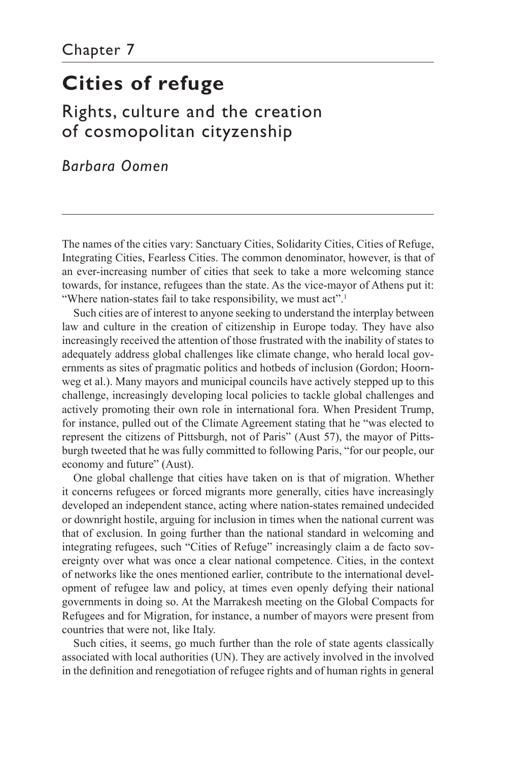# **Cities of refuge**

# Rights, culture and the creation of cosmopolitan cityzenship

*Barbara Oomen*

The names of the cities vary: Sanctuary Cities, Solidarity Cities, Cities of Refuge, Integrating Cities, Fearless Cities. The common denominator, however, is that of an ever-increasing number of cities that seek to take a more welcoming stance towards, for instance, refugees than the state. As the vice-mayor of Athens put it: "Where nation-states fail to take responsibility, we must act".<sup>1</sup>

Such cities are of interest to anyone seeking to understand the interplay between law and culture in the creation of citizenship in Europe today. They have also increasingly received the attention of those frustrated with the inability of states to adequately address global challenges like climate change, who herald local governments as sites of pragmatic politics and hotbeds of inclusion (Gordon; Hoornweg et al.). Many mayors and municipal councils have actively stepped up to this challenge, increasingly developing local policies to tackle global challenges and actively promoting their own role in international fora. When President Trump, for instance, pulled out of the Climate Agreement stating that he "was elected to represent the citizens of Pittsburgh, not of Paris" (Aust 57), the mayor of Pittsburgh tweeted that he was fully committed to following Paris, "for our people, our economy and future" (Aust).

One global challenge that cities have taken on is that of migration. Whether it concerns refugees or forced migrants more generally, cities have increasingly developed an independent stance, acting where nation-states remained undecided or downright hostile, arguing for inclusion in times when the national current was that of exclusion. In going further than the national standard in welcoming and integrating refugees, such "Cities of Refuge" increasingly claim a de facto sovereignty over what was once a clear national competence. Cities, in the context of networks like the ones mentioned earlier, contribute to the international development of refugee law and policy, at times even openly defying their national governments in doing so. At the Marrakesh meeting on the Global Compacts for Refugees and for Migration, for instance, a number of mayors were present from countries that were not, like Italy.

Such cities, it seems, go much further than the role of state agents classically associated with local authorities (UN). They are actively involved in the involved in the definition and renegotiation of refugee rights and of human rights in general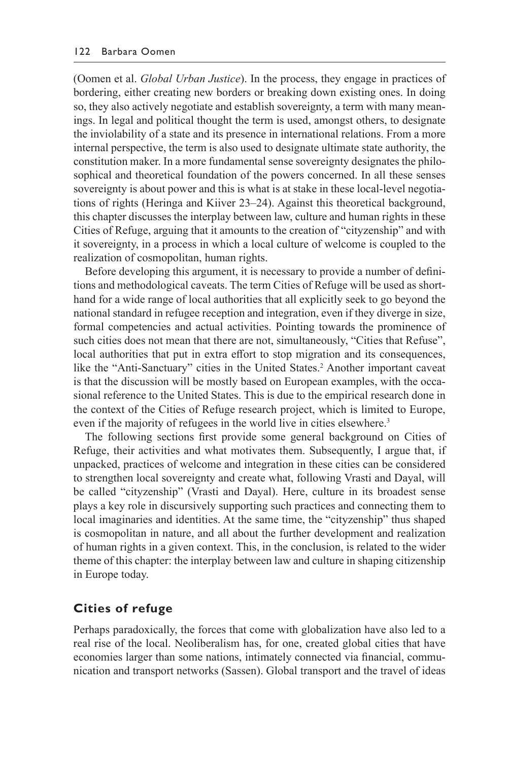(Oomen et al. *Global Urban Justice*). In the process, they engage in practices of bordering, either creating new borders or breaking down existing ones. In doing so, they also actively negotiate and establish sovereignty, a term with many meanings. In legal and political thought the term is used, amongst others, to designate the inviolability of a state and its presence in international relations. From a more internal perspective, the term is also used to designate ultimate state authority, the constitution maker. In a more fundamental sense sovereignty designates the philosophical and theoretical foundation of the powers concerned. In all these senses sovereignty is about power and this is what is at stake in these local-level negotiations of rights (Heringa and Kiiver 23–24). Against this theoretical background, this chapter discusses the interplay between law, culture and human rights in these Cities of Refuge, arguing that it amounts to the creation of "cityzenship" and with it sovereignty, in a process in which a local culture of welcome is coupled to the realization of cosmopolitan, human rights.

Before developing this argument, it is necessary to provide a number of definitions and methodological caveats. The term Cities of Refuge will be used as shorthand for a wide range of local authorities that all explicitly seek to go beyond the national standard in refugee reception and integration, even if they diverge in size, formal competencies and actual activities. Pointing towards the prominence of such cities does not mean that there are not, simultaneously, "Cities that Refuse", local authorities that put in extra effort to stop migration and its consequences, like the "Anti-Sanctuary" cities in the United States.<sup>2</sup> Another important caveat is that the discussion will be mostly based on European examples, with the occasional reference to the United States. This is due to the empirical research done in the context of the Cities of Refuge research project, which is limited to Europe, even if the majority of refugees in the world live in cities elsewhere.<sup>3</sup>

The following sections first provide some general background on Cities of Refuge, their activities and what motivates them. Subsequently, I argue that, if unpacked, practices of welcome and integration in these cities can be considered to strengthen local sovereignty and create what, following Vrasti and Dayal, will be called "cityzenship" (Vrasti and Dayal). Here, culture in its broadest sense plays a key role in discursively supporting such practices and connecting them to local imaginaries and identities. At the same time, the "cityzenship" thus shaped is cosmopolitan in nature, and all about the further development and realization of human rights in a given context. This, in the conclusion, is related to the wider theme of this chapter: the interplay between law and culture in shaping citizenship in Europe today.

#### **Cities of refuge**

Perhaps paradoxically, the forces that come with globalization have also led to a real rise of the local. Neoliberalism has, for one, created global cities that have economies larger than some nations, intimately connected via financial, communication and transport networks (Sassen). Global transport and the travel of ideas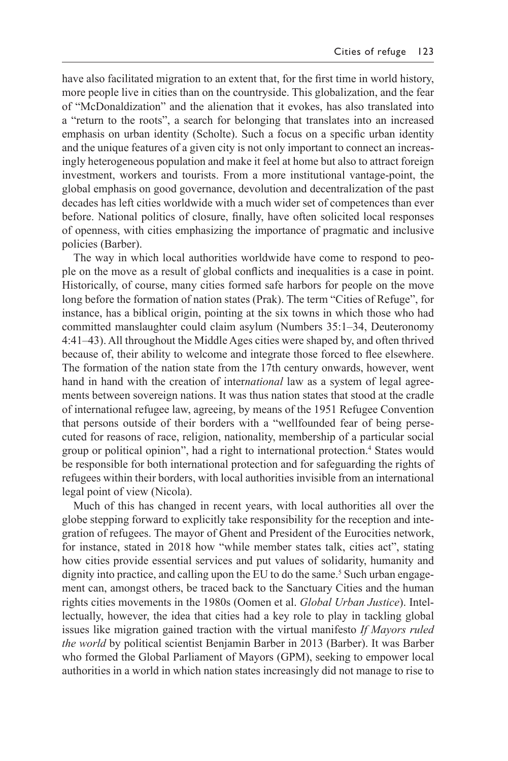have also facilitated migration to an extent that, for the first time in world history, more people live in cities than on the countryside. This globalization, and the fear of "McDonaldization" and the alienation that it evokes, has also translated into a "return to the roots", a search for belonging that translates into an increased emphasis on urban identity (Scholte). Such a focus on a specific urban identity and the unique features of a given city is not only important to connect an increasingly heterogeneous population and make it feel at home but also to attract foreign investment, workers and tourists. From a more institutional vantage-point, the global emphasis on good governance, devolution and decentralization of the past decades has left cities worldwide with a much wider set of competences than ever before. National politics of closure, finally, have often solicited local responses of openness, with cities emphasizing the importance of pragmatic and inclusive policies (Barber).

The way in which local authorities worldwide have come to respond to people on the move as a result of global conflicts and inequalities is a case in point. Historically, of course, many cities formed safe harbors for people on the move long before the formation of nation states (Prak). The term "Cities of Refuge", for instance, has a biblical origin, pointing at the six towns in which those who had committed manslaughter could claim asylum (Numbers 35:1–34, Deuteronomy 4:41–43). All throughout the Middle Ages cities were shaped by, and often thrived because of, their ability to welcome and integrate those forced to flee elsewhere. The formation of the nation state from the 17th century onwards, however, went hand in hand with the creation of inter*national* law as a system of legal agreements between sovereign nations. It was thus nation states that stood at the cradle of international refugee law, agreeing, by means of the 1951 Refugee Convention that persons outside of their borders with a "wellfounded fear of being persecuted for reasons of race, religion, nationality, membership of a particular social group or political opinion", had a right to international protection.<sup>4</sup> States would be responsible for both international protection and for safeguarding the rights of refugees within their borders, with local authorities invisible from an international legal point of view (Nicola).

Much of this has changed in recent years, with local authorities all over the globe stepping forward to explicitly take responsibility for the reception and integration of refugees. The mayor of Ghent and President of the Eurocities network, for instance, stated in 2018 how "while member states talk, cities act", stating how cities provide essential services and put values of solidarity, humanity and dignity into practice, and calling upon the EU to do the same.<sup>5</sup> Such urban engagement can, amongst others, be traced back to the Sanctuary Cities and the human rights cities movements in the 1980s (Oomen et al. *Global Urban Justice*). Intellectually, however, the idea that cities had a key role to play in tackling global issues like migration gained traction with the virtual manifesto *If Mayors ruled the world* by political scientist Benjamin Barber in 2013 (Barber). It was Barber who formed the Global Parliament of Mayors (GPM), seeking to empower local authorities in a world in which nation states increasingly did not manage to rise to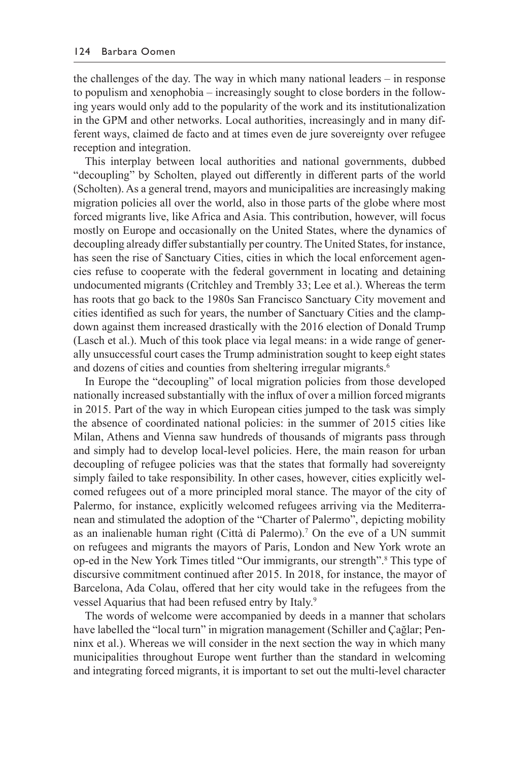the challenges of the day. The way in which many national leaders – in response to populism and xenophobia – increasingly sought to close borders in the following years would only add to the popularity of the work and its institutionalization in the GPM and other networks. Local authorities, increasingly and in many different ways, claimed de facto and at times even de jure sovereignty over refugee reception and integration.

This interplay between local authorities and national governments, dubbed "decoupling" by Scholten, played out differently in different parts of the world (Scholten). As a general trend, mayors and municipalities are increasingly making migration policies all over the world, also in those parts of the globe where most forced migrants live, like Africa and Asia. This contribution, however, will focus mostly on Europe and occasionally on the United States, where the dynamics of decoupling already differ substantially per country. The United States, for instance, has seen the rise of Sanctuary Cities, cities in which the local enforcement agencies refuse to cooperate with the federal government in locating and detaining undocumented migrants (Critchley and Trembly 33; Lee et al.). Whereas the term has roots that go back to the 1980s San Francisco Sanctuary City movement and cities identified as such for years, the number of Sanctuary Cities and the clampdown against them increased drastically with the 2016 election of Donald Trump (Lasch et al.). Much of this took place via legal means: in a wide range of generally unsuccessful court cases the Trump administration sought to keep eight states and dozens of cities and counties from sheltering irregular migrants.<sup>6</sup>

In Europe the "decoupling" of local migration policies from those developed nationally increased substantially with the influx of over a million forced migrants in 2015. Part of the way in which European cities jumped to the task was simply the absence of coordinated national policies: in the summer of 2015 cities like Milan, Athens and Vienna saw hundreds of thousands of migrants pass through and simply had to develop local-level policies. Here, the main reason for urban decoupling of refugee policies was that the states that formally had sovereignty simply failed to take responsibility. In other cases, however, cities explicitly welcomed refugees out of a more principled moral stance. The mayor of the city of Palermo, for instance, explicitly welcomed refugees arriving via the Mediterranean and stimulated the adoption of the "Charter of Palermo", depicting mobility as an inalienable human right (Città di Palermo).7 On the eve of a UN summit on refugees and migrants the mayors of Paris, London and New York wrote an op-ed in the New York Times titled "Our immigrants, our strength".<sup>8</sup> This type of discursive commitment continued after 2015. In 2018, for instance, the mayor of Barcelona, Ada Colau, offered that her city would take in the refugees from the vessel Aquarius that had been refused entry by Italy.<sup>9</sup>

The words of welcome were accompanied by deeds in a manner that scholars have labelled the "local turn" in migration management (Schiller and Çağlar; Penninx et al.). Whereas we will consider in the next section the way in which many municipalities throughout Europe went further than the standard in welcoming and integrating forced migrants, it is important to set out the multi-level character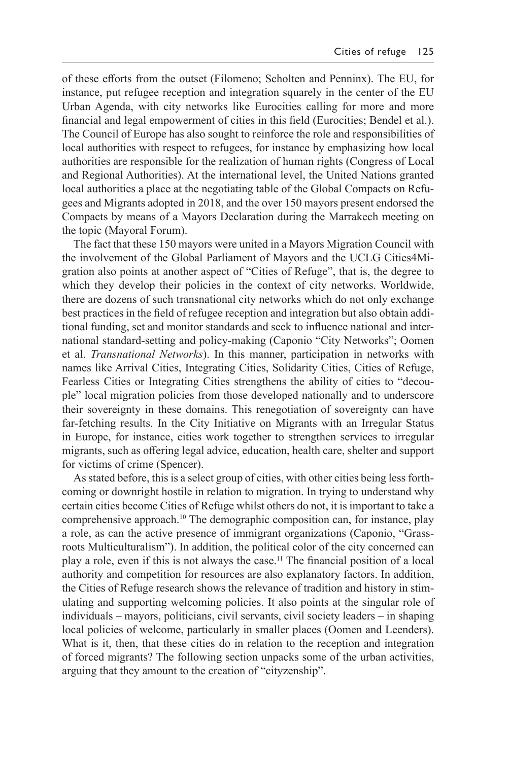of these efforts from the outset (Filomeno; Scholten and Penninx). The EU, for instance, put refugee reception and integration squarely in the center of the EU Urban Agenda, with city networks like Eurocities calling for more and more financial and legal empowerment of cities in this field (Eurocities; Bendel et al.). The Council of Europe has also sought to reinforce the role and responsibilities of local authorities with respect to refugees, for instance by emphasizing how local authorities are responsible for the realization of human rights (Congress of Local and Regional Authorities). At the international level, the United Nations granted local authorities a place at the negotiating table of the Global Compacts on Refugees and Migrants adopted in 2018, and the over 150 mayors present endorsed the Compacts by means of a Mayors Declaration during the Marrakech meeting on the topic (Mayoral Forum).

The fact that these 150 mayors were united in a Mayors Migration Council with the involvement of the Global Parliament of Mayors and the UCLG Cities4Migration also points at another aspect of "Cities of Refuge", that is, the degree to which they develop their policies in the context of city networks. Worldwide, there are dozens of such transnational city networks which do not only exchange best practices in the field of refugee reception and integration but also obtain additional funding, set and monitor standards and seek to influence national and international standard-setting and policy-making (Caponio "City Networks"; Oomen et al. *Transnational Networks*). In this manner, participation in networks with names like Arrival Cities, Integrating Cities, Solidarity Cities, Cities of Refuge, Fearless Cities or Integrating Cities strengthens the ability of cities to "decouple" local migration policies from those developed nationally and to underscore their sovereignty in these domains. This renegotiation of sovereignty can have far-fetching results. In the City Initiative on Migrants with an Irregular Status in Europe, for instance, cities work together to strengthen services to irregular migrants, such as offering legal advice, education, health care, shelter and support for victims of crime (Spencer).

As stated before, this is a select group of cities, with other cities being less forthcoming or downright hostile in relation to migration. In trying to understand why certain cities become Cities of Refuge whilst others do not, it is important to take a comprehensive approach.10 The demographic composition can, for instance, play a role, as can the active presence of immigrant organizations (Caponio, "Grassroots Multiculturalism"). In addition, the political color of the city concerned can play a role, even if this is not always the case.11 The financial position of a local authority and competition for resources are also explanatory factors. In addition, the Cities of Refuge research shows the relevance of tradition and history in stimulating and supporting welcoming policies. It also points at the singular role of individuals – mayors, politicians, civil servants, civil society leaders – in shaping local policies of welcome, particularly in smaller places (Oomen and Leenders). What is it, then, that these cities do in relation to the reception and integration of forced migrants? The following section unpacks some of the urban activities, arguing that they amount to the creation of "cityzenship".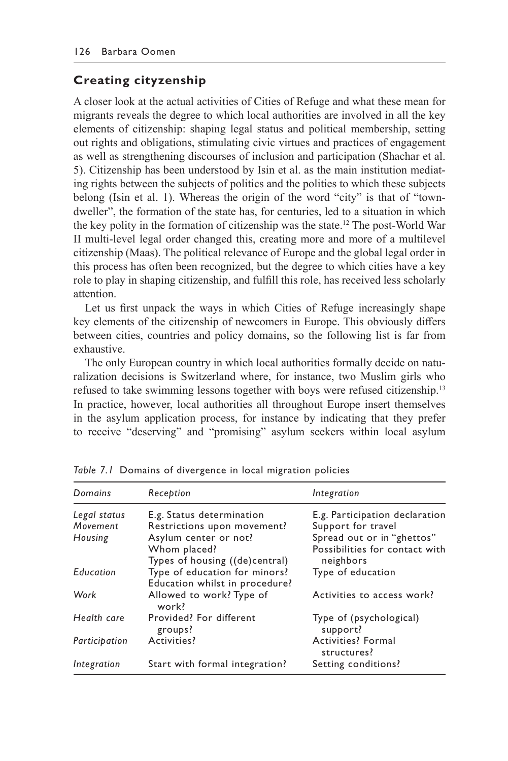#### **Creating cityzenship**

A closer look at the actual activities of Cities of Refuge and what these mean for migrants reveals the degree to which local authorities are involved in all the key elements of citizenship: shaping legal status and political membership, setting out rights and obligations, stimulating civic virtues and practices of engagement as well as strengthening discourses of inclusion and participation (Shachar et al. 5). Citizenship has been understood by Isin et al. as the main institution mediating rights between the subjects of politics and the polities to which these subjects belong (Isin et al. 1). Whereas the origin of the word "city" is that of "towndweller", the formation of the state has, for centuries, led to a situation in which the key polity in the formation of citizenship was the state.<sup>12</sup> The post-World War II multi-level legal order changed this, creating more and more of a multilevel citizenship (Maas). The political relevance of Europe and the global legal order in this process has often been recognized, but the degree to which cities have a key role to play in shaping citizenship, and fulfill this role, has received less scholarly attention.

Let us first unpack the ways in which Cities of Refuge increasingly shape key elements of the citizenship of newcomers in Europe. This obviously differs between cities, countries and policy domains, so the following list is far from exhaustive.

The only European country in which local authorities formally decide on naturalization decisions is Switzerland where, for instance, two Muslim girls who refused to take swimming lessons together with boys were refused citizenship.13 In practice, however, local authorities all throughout Europe insert themselves in the asylum application process, for instance by indicating that they prefer to receive "deserving" and "promising" asylum seekers within local asylum

| Domains       | Reception                                                       | Integration                                 |
|---------------|-----------------------------------------------------------------|---------------------------------------------|
| Legal status  | E.g. Status determination                                       | E.g. Participation declaration              |
| Movement      | Restrictions upon movement?                                     | Support for travel                          |
| Housing       | Asylum center or not?                                           | Spread out or in "ghettos"                  |
|               | Whom placed?<br>Types of housing ((de)central)                  | Possibilities for contact with<br>neighbors |
| Education     | Type of education for minors?<br>Education whilst in procedure? | Type of education                           |
| Work          | Allowed to work? Type of<br>work?                               | Activities to access work?                  |
| Health care   | Provided? For different<br>groups?                              | Type of (psychological)<br>support?         |
| Participation | Activities?                                                     | Activities? Formal<br>structures?           |
| Integration   | Start with formal integration?                                  | Setting conditions?                         |

*Table 7.1* Domains of divergence in local migration policies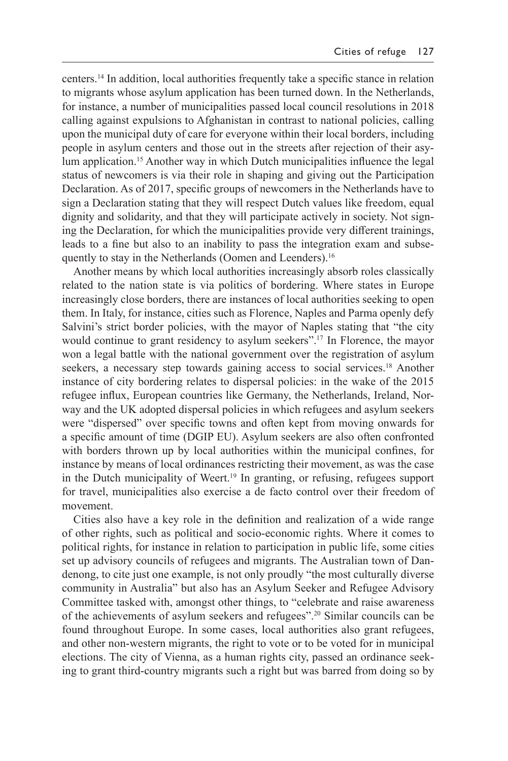centers.14 In addition, local authorities frequently take a specific stance in relation to migrants whose asylum application has been turned down. In the Netherlands, for instance, a number of municipalities passed local council resolutions in 2018 calling against expulsions to Afghanistan in contrast to national policies, calling upon the municipal duty of care for everyone within their local borders, including people in asylum centers and those out in the streets after rejection of their asylum application.15 Another way in which Dutch municipalities influence the legal status of newcomers is via their role in shaping and giving out the Participation Declaration. As of 2017, specific groups of newcomers in the Netherlands have to sign a Declaration stating that they will respect Dutch values like freedom, equal dignity and solidarity, and that they will participate actively in society. Not signing the Declaration, for which the municipalities provide very different trainings, leads to a fine but also to an inability to pass the integration exam and subsequently to stay in the Netherlands (Oomen and Leenders).<sup>16</sup>

Another means by which local authorities increasingly absorb roles classically related to the nation state is via politics of bordering. Where states in Europe increasingly close borders, there are instances of local authorities seeking to open them. In Italy, for instance, cities such as Florence, Naples and Parma openly defy Salvini's strict border policies, with the mayor of Naples stating that "the city would continue to grant residency to asylum seekers".17 In Florence, the mayor won a legal battle with the national government over the registration of asylum seekers, a necessary step towards gaining access to social services.<sup>18</sup> Another instance of city bordering relates to dispersal policies: in the wake of the 2015 refugee influx, European countries like Germany, the Netherlands, Ireland, Norway and the UK adopted dispersal policies in which refugees and asylum seekers were "dispersed" over specific towns and often kept from moving onwards for a specific amount of time (DGIP EU). Asylum seekers are also often confronted with borders thrown up by local authorities within the municipal confines, for instance by means of local ordinances restricting their movement, as was the case in the Dutch municipality of Weert.<sup>19</sup> In granting, or refusing, refugees support for travel, municipalities also exercise a de facto control over their freedom of movement.

Cities also have a key role in the definition and realization of a wide range of other rights, such as political and socio-economic rights. Where it comes to political rights, for instance in relation to participation in public life, some cities set up advisory councils of refugees and migrants. The Australian town of Dandenong, to cite just one example, is not only proudly "the most culturally diverse community in Australia" but also has an Asylum Seeker and Refugee Advisory Committee tasked with, amongst other things, to "celebrate and raise awareness of the achievements of asylum seekers and refugees".20 Similar councils can be found throughout Europe. In some cases, local authorities also grant refugees, and other non-western migrants, the right to vote or to be voted for in municipal elections. The city of Vienna, as a human rights city, passed an ordinance seeking to grant third-country migrants such a right but was barred from doing so by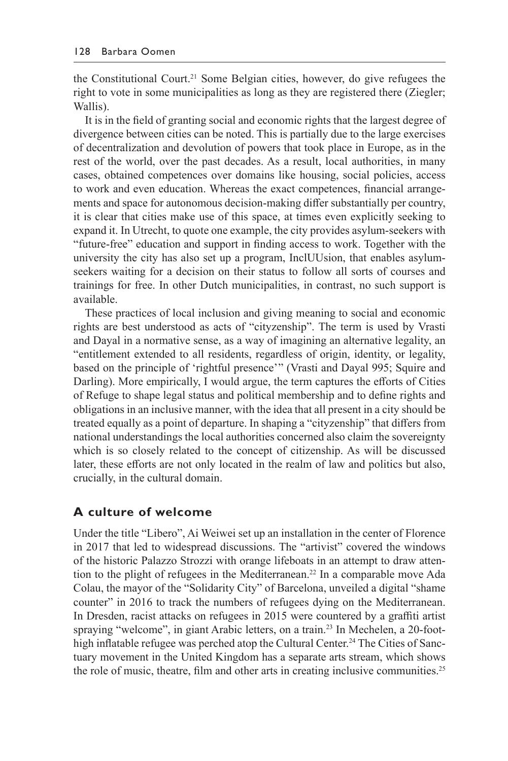the Constitutional Court.<sup>21</sup> Some Belgian cities, however, do give refugees the right to vote in some municipalities as long as they are registered there (Ziegler; Wallis).

It is in the field of granting social and economic rights that the largest degree of divergence between cities can be noted. This is partially due to the large exercises of decentralization and devolution of powers that took place in Europe, as in the rest of the world, over the past decades. As a result, local authorities, in many cases, obtained competences over domains like housing, social policies, access to work and even education. Whereas the exact competences, financial arrangements and space for autonomous decision-making differ substantially per country, it is clear that cities make use of this space, at times even explicitly seeking to expand it. In Utrecht, to quote one example, the city provides asylum-seekers with "future-free" education and support in finding access to work. Together with the university the city has also set up a program, InclUUsion, that enables asylumseekers waiting for a decision on their status to follow all sorts of courses and trainings for free. In other Dutch municipalities, in contrast, no such support is available.

These practices of local inclusion and giving meaning to social and economic rights are best understood as acts of "cityzenship". The term is used by Vrasti and Dayal in a normative sense, as a way of imagining an alternative legality, an "entitlement extended to all residents, regardless of origin, identity, or legality, based on the principle of 'rightful presence'" (Vrasti and Dayal 995; Squire and Darling). More empirically, I would argue, the term captures the efforts of Cities of Refuge to shape legal status and political membership and to define rights and obligations in an inclusive manner, with the idea that all present in a city should be treated equally as a point of departure. In shaping a "cityzenship" that differs from national understandings the local authorities concerned also claim the sovereignty which is so closely related to the concept of citizenship. As will be discussed later, these efforts are not only located in the realm of law and politics but also, crucially, in the cultural domain.

#### **A culture of welcome**

Under the title "Libero", Ai Weiwei set up an installation in the center of Florence in 2017 that led to widespread discussions. The "artivist" covered the windows of the historic Palazzo Strozzi with orange lifeboats in an attempt to draw attention to the plight of refugees in the Mediterranean.<sup>22</sup> In a comparable move Ada Colau, the mayor of the "Solidarity City" of Barcelona, unveiled a digital "shame counter" in 2016 to track the numbers of refugees dying on the Mediterranean. In Dresden, racist attacks on refugees in 2015 were countered by a graffiti artist spraying "welcome", in giant Arabic letters, on a train.<sup>23</sup> In Mechelen, a 20-foothigh inflatable refugee was perched atop the Cultural Center.<sup>24</sup> The Cities of Sanctuary movement in the United Kingdom has a separate arts stream, which shows the role of music, theatre, film and other arts in creating inclusive communities.<sup>25</sup>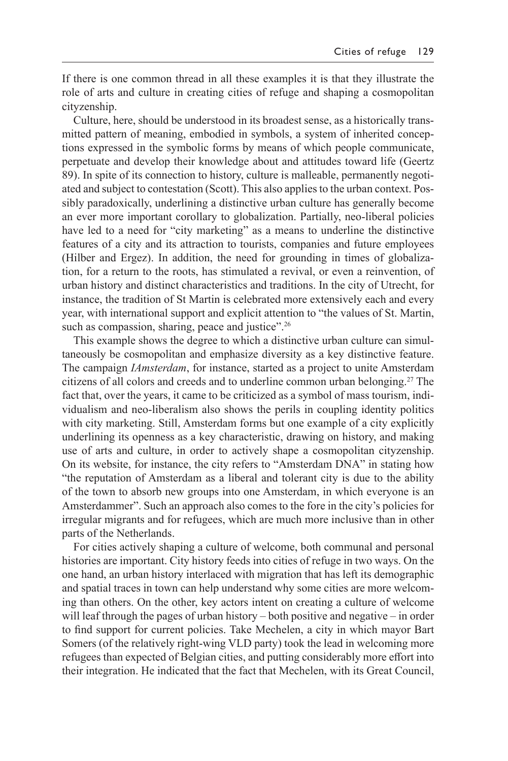If there is one common thread in all these examples it is that they illustrate the role of arts and culture in creating cities of refuge and shaping a cosmopolitan cityzenship.

Culture, here, should be understood in its broadest sense, as a historically transmitted pattern of meaning, embodied in symbols, a system of inherited conceptions expressed in the symbolic forms by means of which people communicate, perpetuate and develop their knowledge about and attitudes toward life (Geertz 89). In spite of its connection to history, culture is malleable, permanently negotiated and subject to contestation (Scott). This also applies to the urban context. Possibly paradoxically, underlining a distinctive urban culture has generally become an ever more important corollary to globalization. Partially, neo-liberal policies have led to a need for "city marketing" as a means to underline the distinctive features of a city and its attraction to tourists, companies and future employees (Hilber and Ergez). In addition, the need for grounding in times of globalization, for a return to the roots, has stimulated a revival, or even a reinvention, of urban history and distinct characteristics and traditions. In the city of Utrecht, for instance, the tradition of St Martin is celebrated more extensively each and every year, with international support and explicit attention to "the values of St. Martin, such as compassion, sharing, peace and justice".<sup>26</sup>

This example shows the degree to which a distinctive urban culture can simultaneously be cosmopolitan and emphasize diversity as a key distinctive feature. The campaign *IAmsterdam*, for instance, started as a project to unite Amsterdam citizens of all colors and creeds and to underline common urban belonging.<sup>27</sup> The fact that, over the years, it came to be criticized as a symbol of mass tourism, individualism and neo-liberalism also shows the perils in coupling identity politics with city marketing. Still, Amsterdam forms but one example of a city explicitly underlining its openness as a key characteristic, drawing on history, and making use of arts and culture, in order to actively shape a cosmopolitan cityzenship. On its website, for instance, the city refers to "Amsterdam DNA" in stating how "the reputation of Amsterdam as a liberal and tolerant city is due to the ability of the town to absorb new groups into one Amsterdam, in which everyone is an Amsterdammer". Such an approach also comes to the fore in the city's policies for irregular migrants and for refugees, which are much more inclusive than in other parts of the Netherlands.

For cities actively shaping a culture of welcome, both communal and personal histories are important. City history feeds into cities of refuge in two ways. On the one hand, an urban history interlaced with migration that has left its demographic and spatial traces in town can help understand why some cities are more welcoming than others. On the other, key actors intent on creating a culture of welcome will leaf through the pages of urban history – both positive and negative – in order to find support for current policies. Take Mechelen, a city in which mayor Bart Somers (of the relatively right-wing VLD party) took the lead in welcoming more refugees than expected of Belgian cities, and putting considerably more effort into their integration. He indicated that the fact that Mechelen, with its Great Council,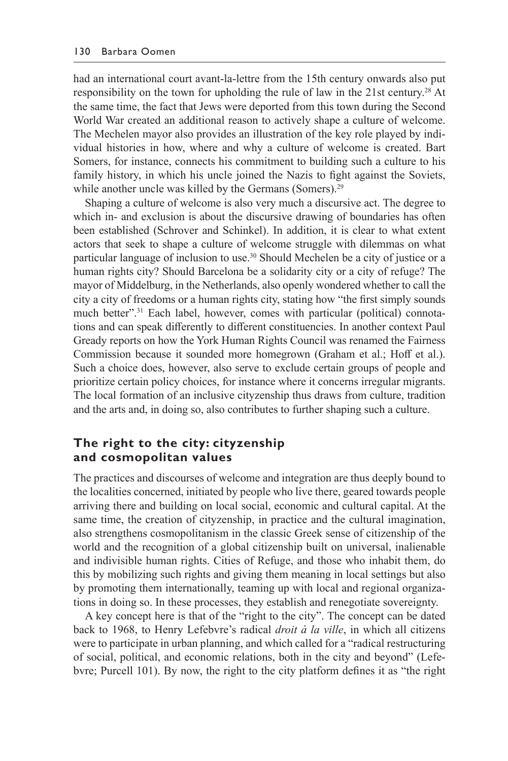had an international court avant-la-lettre from the 15th century onwards also put responsibility on the town for upholding the rule of law in the 21st century.<sup>28</sup> At the same time, the fact that Jews were deported from this town during the Second World War created an additional reason to actively shape a culture of welcome. The Mechelen mayor also provides an illustration of the key role played by individual histories in how, where and why a culture of welcome is created. Bart Somers, for instance, connects his commitment to building such a culture to his family history, in which his uncle joined the Nazis to fight against the Soviets, while another uncle was killed by the Germans (Somers).<sup>29</sup>

Shaping a culture of welcome is also very much a discursive act. The degree to which in- and exclusion is about the discursive drawing of boundaries has often been established (Schrover and Schinkel). In addition, it is clear to what extent actors that seek to shape a culture of welcome struggle with dilemmas on what particular language of inclusion to use.<sup>30</sup> Should Mechelen be a city of justice or a human rights city? Should Barcelona be a solidarity city or a city of refuge? The mayor of Middelburg, in the Netherlands, also openly wondered whether to call the city a city of freedoms or a human rights city, stating how "the first simply sounds much better".31 Each label, however, comes with particular (political) connotations and can speak differently to different constituencies. In another context Paul Gready reports on how the York Human Rights Council was renamed the Fairness Commission because it sounded more homegrown (Graham et al.; Hoff et al.). Such a choice does, however, also serve to exclude certain groups of people and prioritize certain policy choices, for instance where it concerns irregular migrants. The local formation of an inclusive cityzenship thus draws from culture, tradition and the arts and, in doing so, also contributes to further shaping such a culture.

#### **The right to the city: cityzenship and cosmopolitan values**

The practices and discourses of welcome and integration are thus deeply bound to the localities concerned, initiated by people who live there, geared towards people arriving there and building on local social, economic and cultural capital. At the same time, the creation of cityzenship, in practice and the cultural imagination, also strengthens cosmopolitanism in the classic Greek sense of citizenship of the world and the recognition of a global citizenship built on universal, inalienable and indivisible human rights. Cities of Refuge, and those who inhabit them, do this by mobilizing such rights and giving them meaning in local settings but also by promoting them internationally, teaming up with local and regional organizations in doing so. In these processes, they establish and renegotiate sovereignty.

A key concept here is that of the "right to the city". The concept can be dated back to 1968, to Henry Lefebvre's radical *droit à la ville*, in which all citizens were to participate in urban planning, and which called for a "radical restructuring of social, political, and economic relations, both in the city and beyond" (Lefebvre; Purcell 101). By now, the right to the city platform defines it as "the right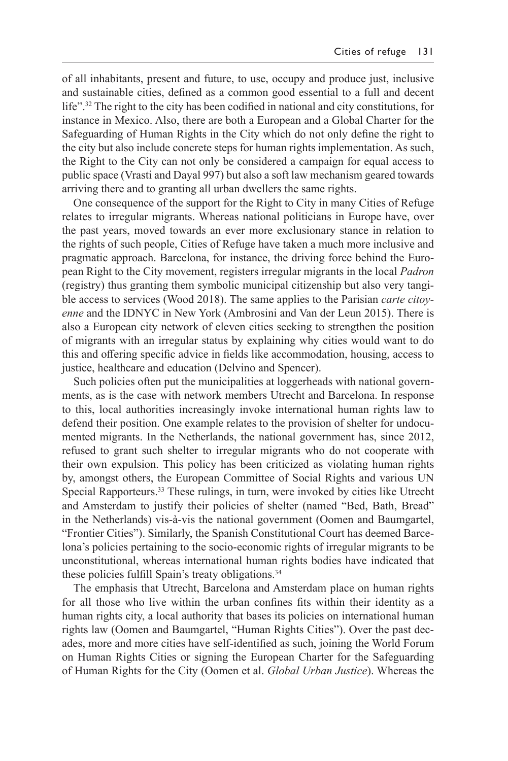of all inhabitants, present and future, to use, occupy and produce just, inclusive and sustainable cities, defined as a common good essential to a full and decent life".<sup>32</sup> The right to the city has been codified in national and city constitutions, for instance in Mexico. Also, there are both a European and a Global Charter for the Safeguarding of Human Rights in the City which do not only define the right to the city but also include concrete steps for human rights implementation. As such, the Right to the City can not only be considered a campaign for equal access to public space (Vrasti and Dayal 997) but also a soft law mechanism geared towards arriving there and to granting all urban dwellers the same rights.

One consequence of the support for the Right to City in many Cities of Refuge relates to irregular migrants. Whereas national politicians in Europe have, over the past years, moved towards an ever more exclusionary stance in relation to the rights of such people, Cities of Refuge have taken a much more inclusive and pragmatic approach. Barcelona, for instance, the driving force behind the European Right to the City movement, registers irregular migrants in the local *Padron* (registry) thus granting them symbolic municipal citizenship but also very tangible access to services (Wood 2018). The same applies to the Parisian *carte citoyenne* and the IDNYC in New York (Ambrosini and Van der Leun 2015). There is also a European city network of eleven cities seeking to strengthen the position of migrants with an irregular status by explaining why cities would want to do this and offering specific advice in fields like accommodation, housing, access to justice, healthcare and education (Delvino and Spencer).

Such policies often put the municipalities at loggerheads with national governments, as is the case with network members Utrecht and Barcelona. In response to this, local authorities increasingly invoke international human rights law to defend their position. One example relates to the provision of shelter for undocumented migrants. In the Netherlands, the national government has, since 2012, refused to grant such shelter to irregular migrants who do not cooperate with their own expulsion. This policy has been criticized as violating human rights by, amongst others, the European Committee of Social Rights and various UN Special Rapporteurs.33 These rulings, in turn, were invoked by cities like Utrecht and Amsterdam to justify their policies of shelter (named "Bed, Bath, Bread" in the Netherlands) vis-à-vis the national government (Oomen and Baumgartel, "Frontier Cities"). Similarly, the Spanish Constitutional Court has deemed Barcelona's policies pertaining to the socio-economic rights of irregular migrants to be unconstitutional, whereas international human rights bodies have indicated that these policies fulfill Spain's treaty obligations.<sup>34</sup>

The emphasis that Utrecht, Barcelona and Amsterdam place on human rights for all those who live within the urban confines fits within their identity as a human rights city, a local authority that bases its policies on international human rights law (Oomen and Baumgartel, "Human Rights Cities"). Over the past decades, more and more cities have self-identified as such, joining the World Forum on Human Rights Cities or signing the European Charter for the Safeguarding of Human Rights for the City (Oomen et al. *Global Urban Justice*). Whereas the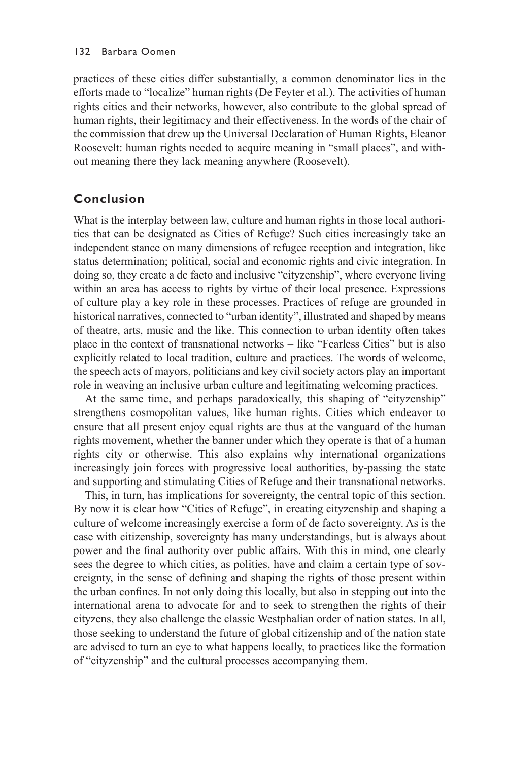practices of these cities differ substantially, a common denominator lies in the efforts made to "localize" human rights (De Feyter et al.). The activities of human rights cities and their networks, however, also contribute to the global spread of human rights, their legitimacy and their effectiveness. In the words of the chair of the commission that drew up the Universal Declaration of Human Rights, Eleanor Roosevelt: human rights needed to acquire meaning in "small places", and without meaning there they lack meaning anywhere (Roosevelt).

#### **Conclusion**

What is the interplay between law, culture and human rights in those local authorities that can be designated as Cities of Refuge? Such cities increasingly take an independent stance on many dimensions of refugee reception and integration, like status determination; political, social and economic rights and civic integration. In doing so, they create a de facto and inclusive "cityzenship", where everyone living within an area has access to rights by virtue of their local presence. Expressions of culture play a key role in these processes. Practices of refuge are grounded in historical narratives, connected to "urban identity", illustrated and shaped by means of theatre, arts, music and the like. This connection to urban identity often takes place in the context of transnational networks – like "Fearless Cities" but is also explicitly related to local tradition, culture and practices. The words of welcome, the speech acts of mayors, politicians and key civil society actors play an important role in weaving an inclusive urban culture and legitimating welcoming practices.

At the same time, and perhaps paradoxically, this shaping of "cityzenship" strengthens cosmopolitan values, like human rights. Cities which endeavor to ensure that all present enjoy equal rights are thus at the vanguard of the human rights movement, whether the banner under which they operate is that of a human rights city or otherwise. This also explains why international organizations increasingly join forces with progressive local authorities, by-passing the state and supporting and stimulating Cities of Refuge and their transnational networks.

This, in turn, has implications for sovereignty, the central topic of this section. By now it is clear how "Cities of Refuge", in creating cityzenship and shaping a culture of welcome increasingly exercise a form of de facto sovereignty. As is the case with citizenship, sovereignty has many understandings, but is always about power and the final authority over public affairs. With this in mind, one clearly sees the degree to which cities, as polities, have and claim a certain type of sovereignty, in the sense of defining and shaping the rights of those present within the urban confines. In not only doing this locally, but also in stepping out into the international arena to advocate for and to seek to strengthen the rights of their cityzens, they also challenge the classic Westphalian order of nation states. In all, those seeking to understand the future of global citizenship and of the nation state are advised to turn an eye to what happens locally, to practices like the formation of "cityzenship" and the cultural processes accompanying them.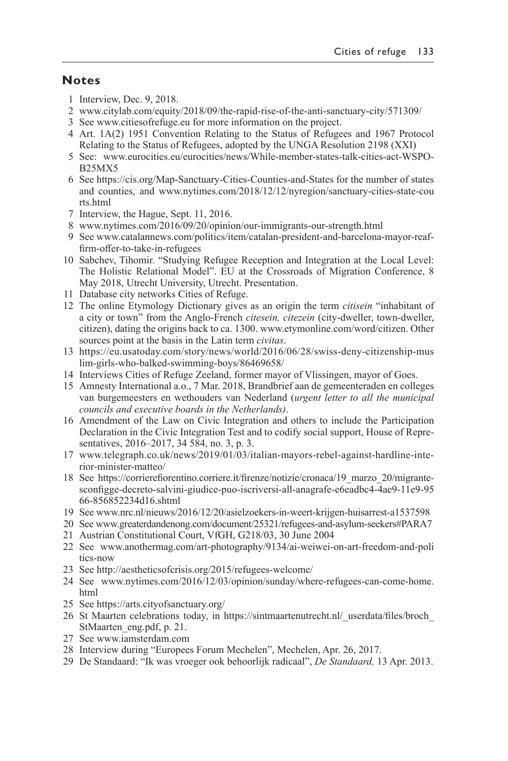## **Notes**

- 1 Interview, Dec. 9, 2018.
- 2 [www.citylab.com/equity/2018/09/the-rapid-rise-of-the-anti-sanctuary-city/571309/](http://www.citylab.com)
- 3 See [www.citiesofrefuge.eu](http://www.citiesofrefuge.eu) for more information on the project.
- 4 Art. 1A(2) 1951 Convention Relating to the Status of Refugees and 1967 Protocol Relating to the Status of Refugees, adopted by the UNGA Resolution 2198 (XXI)
- 5 See: [www.eurocities.eu/eurocities/news/While-member-states-talk-cities-act-WSPO-](http://www.eurocities.eu)[B25MX5](http://www.eurocities.eu)
- 6 See [https://cis.org/Map-Sanctuary-Cities-Counties-and-States for the number of states](https://cis.org) [and counties,](https://cis.org) and [www.nytimes.com/2018/12/12/nyregion/sanctuary-cities-state-cou](http://www.nytimes.com) [rts.html](http://www.nytimes.com)
- 7 Interview, the Hague, Sept. 11, 2016.
- 8 [www.nytimes.com/2016/09/20/opinion/our-immigrants-our-strength.html](http://www.nytimes.com)
- 9 See [www.catalannews.com/politics/item/catalan-president-and-barcelona-mayor-reaf](http://www.catalannews.com)[firm-offer-to-take-in-refugees](http://www.catalannews.com)
- 10 Sabchev, Tihomir. "Studying Refugee Reception and Integration at the Local Level: The Holistic Relational Model". EU at the Crossroads of Migration Conference, 8 May 2018, Utrecht University, Utrecht. Presentation.
- 11 Database city networks Cities of Refuge.
- 12 The online Etymology Dictionary gives as an origin the term *citisein* "inhabitant of a city or town" from the Anglo-French *citesein, citezein* (city-dweller, town-dweller, citizen), dating the origins back to ca. 1300. [www.etymonline.com/word/citizen.](http://www.etymonline.com) Other sources point at the basis in the Latin term *civitas*.
- 13 [https://eu.usatoday.com/story/news/world/2016/06/28/swiss-deny-citizenship-mus](https://eu.usatoday.com) [lim-girls-who-balked-swimming-boys/86469658/](https://eu.usatoday.com)
- 14 Interviews Cities of Refuge Zeeland, former mayor of Vlissingen, mayor of Goes.
- 15 Amnesty International a.o., 7 Mar. 2018, Brandbrief aan de gemeenteraden en colleges van burgemeesters en wethouders van Nederland (*urgent letter to all the municipal councils and executive boards in the Netherlands)*.
- 16 Amendment of the Law on Civic Integration and others to include the Participation Declaration in the Civic Integration Test and to codify social support, House of Representatives, 2016–2017, 34 584, no. 3, p. 3.
- 17 [www.telegraph.co.uk/news/2019/01/03/italian-mayors-rebel-against-hardline-inte](http://www.telegraph.co.uk)[rior-minister-matteo/](http://www.telegraph.co.uk)
- 18 See [https://corrierefiorentino.corriere.it/firenze/notizie/cronaca/19\\_marzo\\_20/migrante](https://corrierefiorentino.corriere.it)[sconfigge-decreto-salvini-giudice-puo-iscriversi-all-anagrafe-e6eadbc4-4ae9-11e9-95](https://corrierefiorentino.corriere.it) [66-856852234d16.shtml](https://corrierefiorentino.corriere.it)
- 19 See [www.nrc.nl/nieuws/2016/12/20/asielzoekers-in-weert-krijgen-huisarrest-a1537598](http://www.nrc.nl)
- 20 See [www.greaterdandenong.com/document/25321/refugees-and-asylum-seekers#PARA7](http://www.greaterdandenong.com)
- 21 Austrian Constitutional Court, VfGH, G218/03, 30 June 2004
- 22 See [www.anothermag.com/art-photography/9134/ai-weiwei-on-art-freedom-and-poli](http://www.anothermag.com) [tics-now](http://www.anothermag.com)
- 23 See [http://aestheticsofcrisis.org/2015/refugees-welcome/](http://aestheticsofcrisis.org)
- 24 See [www.nytimes.com/2016/12/03/opinion/sunday/where-refugees-can-come-home.](http://www.nytimes.com) [html](http://www.nytimes.com)
- 25 See [https://arts.cityofsanctuary.org/](https://arts.cityofsanctuary.org)
- 26 St Maarten celebrations today, in [https://sintmaartenutrecht.nl/\\_userdata/files/broch\\_](https://sintmaartenutrecht.nl) [StMaarten\\_eng.pdf](https://sintmaartenutrecht.nl), p. 21.
- 27 See [www.iamsterdam.com](http://www.iamsterdam.com)
- 28 Interview during "Europees Forum Mechelen", Mechelen, Apr. 26, 2017.
- 29 De Standaard: "Ik was vroeger ook behoorlijk radicaal", *De Standaard,* 13 Apr. 2013.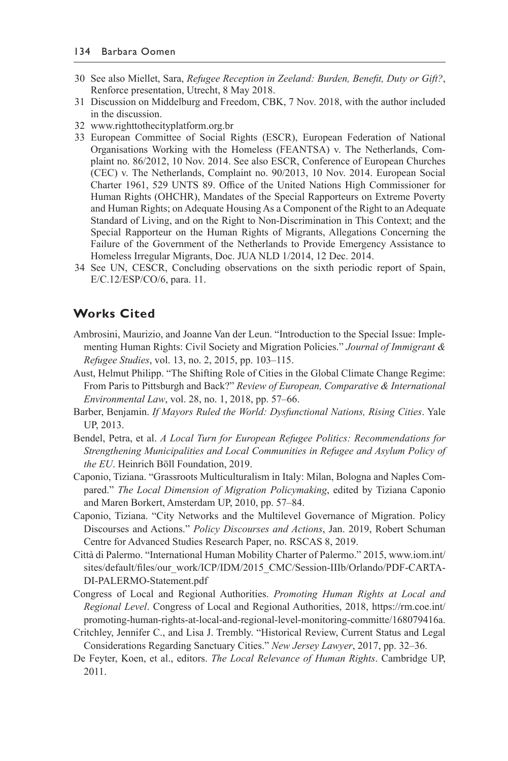- 30 See also Miellet, Sara, *Refugee Reception in Zeeland: Burden, Benefit, Duty or Gift?*, Renforce presentation, Utrecht, 8 May 2018.
- 31 Discussion on Middelburg and Freedom, CBK, 7 Nov. 2018, with the author included in the discussion.
- 32 [www.righttothecityplatform.org.br](http://www.righttothecityplatform.org.br)
- 33 European Committee of Social Rights (ESCR), European Federation of National Organisations Working with the Homeless (FEANTSA) v. The Netherlands, Complaint no. 86/2012, 10 Nov. 2014. See also ESCR, Conference of European Churches (CEC) v. The Netherlands, Complaint no. 90/2013, 10 Nov. 2014. European Social Charter 1961, 529 UNTS 89. Office of the United Nations High Commissioner for Human Rights (OHCHR), Mandates of the Special Rapporteurs on Extreme Poverty and Human Rights; on Adequate Housing As a Component of the Right to an Adequate Standard of Living, and on the Right to Non-Discrimination in This Context; and the Special Rapporteur on the Human Rights of Migrants, Allegations Concerning the Failure of the Government of the Netherlands to Provide Emergency Assistance to Homeless Irregular Migrants, Doc. JUA NLD 1/2014, 12 Dec. 2014.
- 34 See UN, CESCR, Concluding observations on the sixth periodic report of Spain, E/C.12/ESP/CO/6, para. 11.

### **Works Cited**

- Ambrosini, Maurizio, and Joanne Van der Leun. "Introduction to the Special Issue: Implementing Human Rights: Civil Society and Migration Policies." *Journal of Immigrant & Refugee Studies*, vol. 13, no. 2, 2015, pp. 103–115.
- Aust, Helmut Philipp. "The Shifting Role of Cities in the Global Climate Change Regime: From Paris to Pittsburgh and Back?" *Review of European, Comparative & International Environmental Law*, vol. 28, no. 1, 2018, pp. 57–66.
- Barber, Benjamin. *If Mayors Ruled the World: Dysfunctional Nations, Rising Cities*. Yale UP, 2013.
- Bendel, Petra, et al. *A Local Turn for European Refugee Politics: Recommendations for Strengthening Municipalities and Local Communities in Refugee and Asylum Policy of the EU*. Heinrich Böll Foundation, 2019.
- Caponio, Tiziana. "Grassroots Multiculturalism in Italy: Milan, Bologna and Naples Compared." *The Local Dimension of Migration Policymaking*, edited by Tiziana Caponio and Maren Borkert, Amsterdam UP, 2010, pp. 57–84.
- Caponio, Tiziana. "City Networks and the Multilevel Governance of Migration. Policy Discourses and Actions." *Policy Discourses and Actions*, Jan. 2019, Robert Schuman Centre for Advanced Studies Research Paper, no. RSCAS 8, 2019.
- Città di Palermo. "International Human Mobility Charter of Palermo." 2015, [www.iom.int/](http://www.iom.int) [sites/default/files/our\\_work/ICP/IDM/2015\\_CMC/Session-IIIb/Orlando/PDF-CARTA-](http://www.iom.int)[DI-PALERMO-Statement.pdf](http://www.iom.int)
- Congress of Local and Regional Authorities. *Promoting Human Rights at Local and Regional Level*. Congress of Local and Regional Authorities, 2018, [https://rm.coe.int/](https://rm.coe.int) [promoting-human-rights-at-local-and-regional-level-monitoring-committe/168079416a.](https://rm.coe.int)
- Critchley, Jennifer C., and Lisa J. Trembly. "Historical Review, Current Status and Legal Considerations Regarding Sanctuary Cities." *New Jersey Lawyer*, 2017, pp. 32–36.
- De Feyter, Koen, et al., editors. *The Local Relevance of Human Rights*. Cambridge UP, 2011.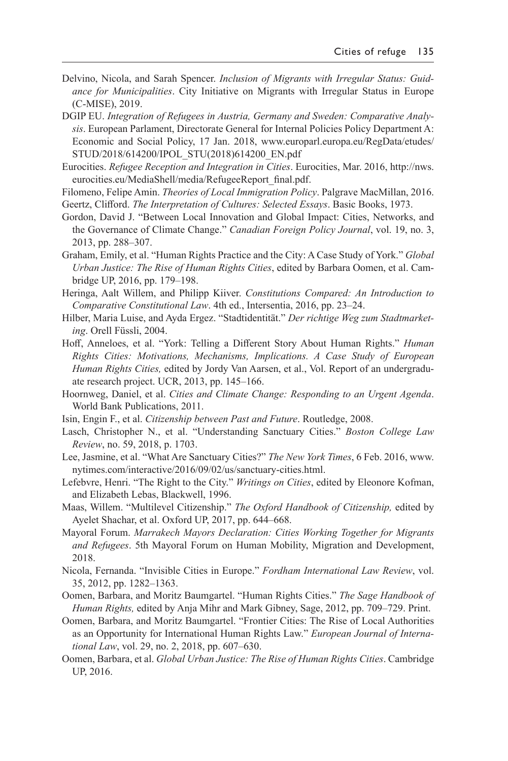- Delvino, Nicola, and Sarah Spencer. *Inclusion of Migrants with Irregular Status: Guidance for Municipalities*. City Initiative on Migrants with Irregular Status in Europe (C-MISE), 2019.
- DGIP EU. *Integration of Refugees in Austria, Germany and Sweden: Comparative Analysis*. European Parlament, Directorate General for Internal Policies Policy Department A: Economic and Social Policy, 17 Jan. 2018, [www.europarl.europa.eu/RegData/etudes/](http://www.europarl.europa.eu) [STUD/2018/614200/IPOL\\_STU\(2018\)614200\\_EN.pdf](http://www.europarl.europa.eu)
- Eurocities. *Refugee Reception and Integration in Cities*. Eurocities, Mar. 2016, [http://nws.](http://nws.eurocities.eu) [eurocities.eu/MediaShell/media/RefugeeReport\\_final.pdf.](http://nws.eurocities.eu)
- Filomeno, Felipe Amin. *Theories of Local Immigration Policy*. Palgrave MacMillan, 2016. Geertz, Clifford. *The Interpretation of Cultures: Selected Essays*. Basic Books, 1973.
- Gordon, David J. "Between Local Innovation and Global Impact: Cities, Networks, and the Governance of Climate Change." *Canadian Foreign Policy Journal*, vol. 19, no. 3, 2013, pp. 288–307.
- Graham, Emily, et al. "Human Rights Practice and the City: A Case Study of York." *Global Urban Justice: The Rise of Human Rights Cities*, edited by Barbara Oomen, et al. Cambridge UP, 2016, pp. 179–198.
- Heringa, Aalt Willem, and Philipp Kiiver. *Constitutions Compared: An Introduction to Comparative Constitutional Law*. 4th ed., Intersentia, 2016, pp. 23–24.
- Hilber, Maria Luise, and Ayda Ergez. "Stadtidentität." *Der richtige Weg zum Stadtmarketing*. Orell Füssli, 2004.
- Hoff, Anneloes, et al. "York: Telling a Different Story About Human Rights." *Human Rights Cities: Motivations, Mechanisms, Implications. A Case Study of European Human Rights Cities,* edited by Jordy Van Aarsen, et al., Vol. Report of an undergraduate research project. UCR, 2013, pp. 145–166.
- Hoornweg, Daniel, et al. *Cities and Climate Change: Responding to an Urgent Agenda*. World Bank Publications, 2011.
- Isin, Engin F., et al. *Citizenship between Past and Future*. Routledge, 2008.
- Lasch, Christopher N., et al. "Understanding Sanctuary Cities." *Boston College Law Review*, no. 59, 2018, p. 1703.
- Lee, Jasmine, et al. "What Are Sanctuary Cities?" *The New York Times*, 6 Feb. 2016, [www.](http://www.nytimes.com) [nytimes.com/interactive/2016/09/02/us/sanctuary-cities.html](http://www.nytimes.com).
- Lefebvre, Henri. "The Right to the City." *Writings on Cities*, edited by Eleonore Kofman, and Elizabeth Lebas, Blackwell, 1996.
- Maas, Willem. "Multilevel Citizenship." *The Oxford Handbook of Citizenship,* edited by Ayelet Shachar, et al. Oxford UP, 2017, pp. 644–668.
- Mayoral Forum. *Marrakech Mayors Declaration: Cities Working Together for Migrants and Refugees*. 5th Mayoral Forum on Human Mobility, Migration and Development, 2018.
- Nicola, Fernanda. "Invisible Cities in Europe." *Fordham International Law Review*, vol. 35, 2012, pp. 1282–1363.
- Oomen, Barbara, and Moritz Baumgartel. "Human Rights Cities." *The Sage Handbook of Human Rights,* edited by Anja Mihr and Mark Gibney, Sage, 2012, pp. 709–729. Print.
- Oomen, Barbara, and Moritz Baumgartel. "Frontier Cities: The Rise of Local Authorities as an Opportunity for International Human Rights Law." *European Journal of International Law*, vol. 29, no. 2, 2018, pp. 607–630.
- Oomen, Barbara, et al. *Global Urban Justice: The Rise of Human Rights Cities*. Cambridge UP, 2016.